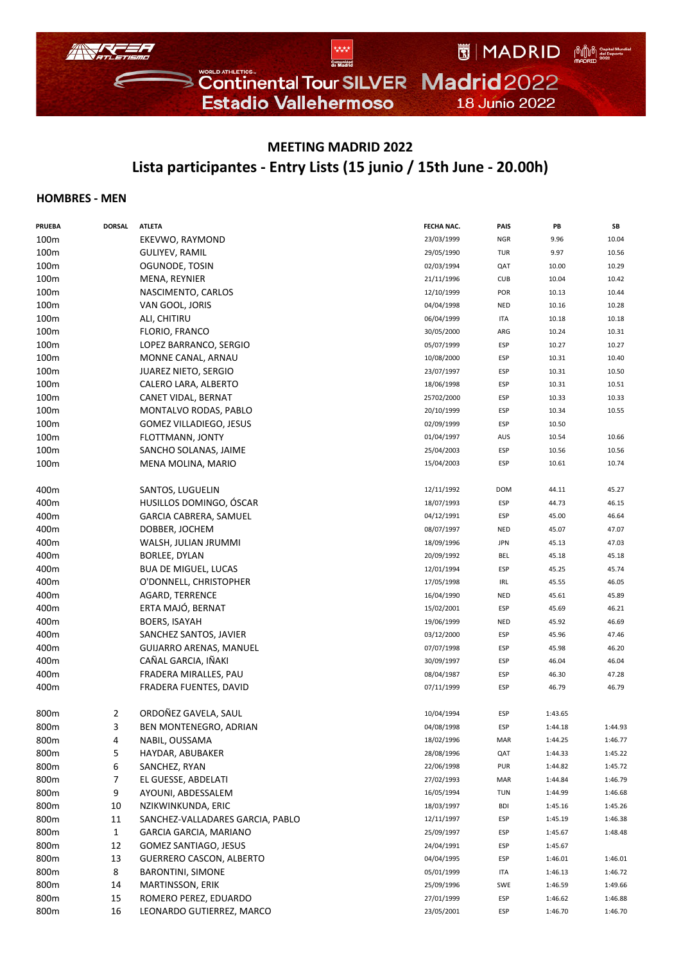

## **MEETING MADRID 2022 Lista participantes ‐ Entry Lists (15 junio / 15th June ‐ 20.00h)**

## **HOMBRES ‐ MEN**

| <b>PRUEBA</b> | <b>DORSAL</b> | <b>ATLETA</b>                    | FECHA NAC. | PAIS       | PB      | SB      |
|---------------|---------------|----------------------------------|------------|------------|---------|---------|
| 100m          |               | EKEVWO, RAYMOND                  | 23/03/1999 | <b>NGR</b> | 9.96    | 10.04   |
| 100m          |               | <b>GULIYEV, RAMIL</b>            | 29/05/1990 | <b>TUR</b> | 9.97    | 10.56   |
| 100m          |               | OGUNODE, TOSIN                   | 02/03/1994 | QAT        | 10.00   | 10.29   |
| 100m          |               | MENA, REYNIER                    | 21/11/1996 | <b>CUB</b> | 10.04   | 10.42   |
| 100m          |               | NASCIMENTO, CARLOS               | 12/10/1999 | POR        | 10.13   | 10.44   |
| 100m          |               | VAN GOOL, JORIS                  | 04/04/1998 | <b>NED</b> | 10.16   | 10.28   |
| 100m          |               | ALI, CHITIRU                     | 06/04/1999 | ITA        | 10.18   | 10.18   |
| 100m          |               | FLORIO, FRANCO                   | 30/05/2000 | ARG        | 10.24   | 10.31   |
| 100m          |               | LOPEZ BARRANCO, SERGIO           | 05/07/1999 | ESP        | 10.27   | 10.27   |
| 100m          |               | MONNE CANAL, ARNAU               | 10/08/2000 | ESP        | 10.31   | 10.40   |
| 100m          |               | <b>JUAREZ NIETO, SERGIO</b>      | 23/07/1997 | ESP        | 10.31   | 10.50   |
| 100m          |               | CALERO LARA, ALBERTO             | 18/06/1998 | ESP        | 10.31   | 10.51   |
|               |               |                                  |            | ESP        | 10.33   | 10.33   |
| 100m          |               | CANET VIDAL, BERNAT              | 25702/2000 |            |         |         |
| 100m          |               | MONTALVO RODAS, PABLO            | 20/10/1999 | ESP        | 10.34   | 10.55   |
| 100m          |               | GOMEZ VILLADIEGO, JESUS          | 02/09/1999 | ESP        | 10.50   |         |
| 100m          |               | FLOTTMANN, JONTY                 | 01/04/1997 | AUS        | 10.54   | 10.66   |
| 100m          |               | SANCHO SOLANAS, JAIME            | 25/04/2003 | ESP        | 10.56   | 10.56   |
| 100m          |               | MENA MOLINA, MARIO               | 15/04/2003 | ESP        | 10.61   | 10.74   |
| 400m          |               | SANTOS, LUGUELIN                 | 12/11/1992 | <b>DOM</b> | 44.11   | 45.27   |
| 400m          |               | HUSILLOS DOMINGO, ÓSCAR          | 18/07/1993 | ESP        | 44.73   | 46.15   |
| 400m          |               | GARCIA CABRERA, SAMUEL           | 04/12/1991 | ESP        | 45.00   | 46.64   |
| 400m          |               | DOBBER, JOCHEM                   | 08/07/1997 | NED        | 45.07   | 47.07   |
| 400m          |               | WALSH, JULIAN JRUMMI             | 18/09/1996 | <b>JPN</b> | 45.13   | 47.03   |
| 400m          |               | BORLEE, DYLAN                    | 20/09/1992 | <b>BEL</b> | 45.18   | 45.18   |
| 400m          |               | <b>BUA DE MIGUEL, LUCAS</b>      | 12/01/1994 | ESP        | 45.25   | 45.74   |
| 400m          |               | O'DONNELL, CHRISTOPHER           | 17/05/1998 | IRL        | 45.55   | 46.05   |
| 400m          |               | AGARD, TERRENCE                  | 16/04/1990 | <b>NED</b> | 45.61   | 45.89   |
| 400m          |               | ERTA MAJÓ, BERNAT                | 15/02/2001 | ESP        | 45.69   | 46.21   |
| 400m          |               | <b>BOERS, ISAYAH</b>             | 19/06/1999 | <b>NED</b> | 45.92   | 46.69   |
| 400m          |               | SANCHEZ SANTOS, JAVIER           | 03/12/2000 | ESP        | 45.96   | 47.46   |
| 400m          |               | <b>GUIJARRO ARENAS, MANUEL</b>   | 07/07/1998 | ESP        | 45.98   | 46.20   |
| 400m          |               | CAÑAL GARCIA, IÑAKI              | 30/09/1997 | ESP        | 46.04   | 46.04   |
| 400m          |               | FRADERA MIRALLES, PAU            | 08/04/1987 | ESP        | 46.30   | 47.28   |
| 400m          |               | FRADERA FUENTES, DAVID           | 07/11/1999 | ESP        | 46.79   | 46.79   |
|               |               |                                  |            |            |         |         |
| 800m          | 2             | ORDOÑEZ GAVELA, SAUL             | 10/04/1994 | ESP        | 1:43.65 |         |
| 800m          | 3             | BEN MONTENEGRO, ADRIAN           | 04/08/1998 | ESP        | 1:44.18 | 1:44.93 |
| 800m          | 4             | NABIL, OUSSAMA                   | 18/02/1996 | MAR        | 1:44.25 | 1:46.77 |
| 800m          | 5             | HAYDAR, ABUBAKER                 | 28/08/1996 | QAT        | 1:44.33 | 1:45.22 |
| 800m          | 6             | SANCHEZ, RYAN                    | 22/06/1998 | PUR        | 1:44.82 | 1:45.72 |
| 800m          | 7             | EL GUESSE, ABDELATI              | 27/02/1993 | MAR        | 1:44.84 | 1:46.79 |
| 800m          | 9             | AYOUNI, ABDESSALEM               | 16/05/1994 | TUN        | 1:44.99 | 1:46.68 |
| 800m          | 10            | NZIKWINKUNDA, ERIC               | 18/03/1997 | <b>BDI</b> | 1:45.16 | 1:45.26 |
| 800m          | 11            | SANCHEZ-VALLADARES GARCIA, PABLO | 12/11/1997 | ESP        | 1:45.19 | 1:46.38 |
| 800m          | $\mathbf{1}$  | GARCIA GARCIA, MARIANO           | 25/09/1997 | ESP        | 1:45.67 | 1:48.48 |
| 800m          | 12            | GOMEZ SANTIAGO, JESUS            | 24/04/1991 | ESP        | 1:45.67 |         |
| 800m          | 13            | <b>GUERRERO CASCON, ALBERTO</b>  | 04/04/1995 | ESP        | 1:46.01 | 1:46.01 |
| 800m          | 8             | <b>BARONTINI, SIMONE</b>         | 05/01/1999 | ITA        | 1:46.13 | 1:46.72 |
| 800m          | 14            | MARTINSSON, ERIK                 | 25/09/1996 | SWE        | 1:46.59 | 1:49.66 |
| 800m          | 15            | ROMERO PEREZ, EDUARDO            | 27/01/1999 | ESP        | 1:46.62 | 1:46.88 |
| 800m          | 16            | LEONARDO GUTIERREZ, MARCO        | 23/05/2001 | ESP        | 1:46.70 | 1:46.70 |
|               |               |                                  |            |            |         |         |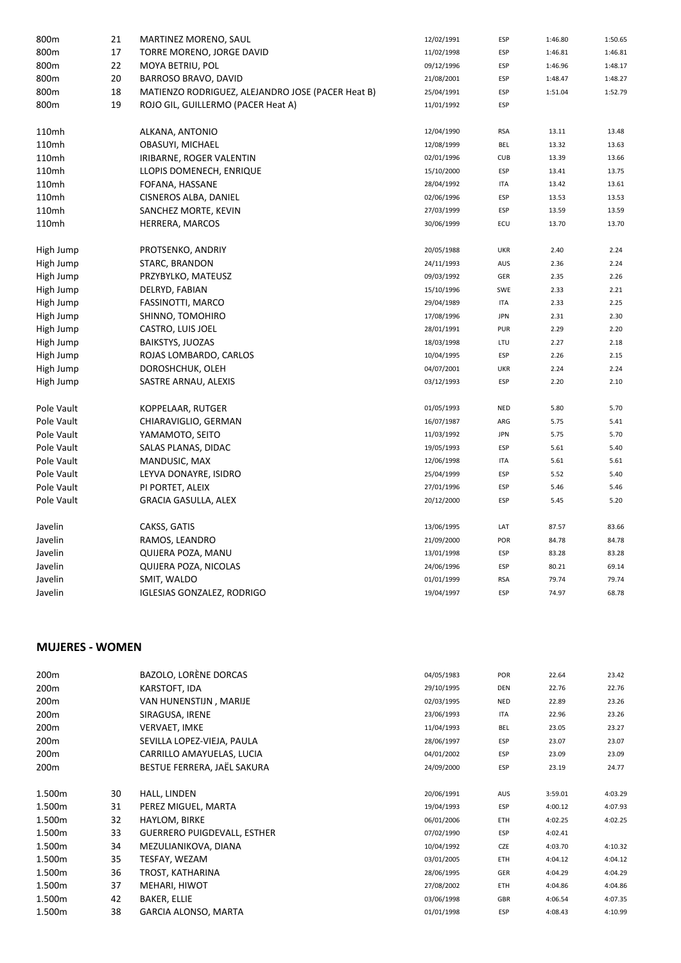| 800m       | 21 | MARTINEZ MORENO, SAUL                             | 12/02/1991 | ESP        | 1:46.80 | 1:50.65 |
|------------|----|---------------------------------------------------|------------|------------|---------|---------|
| 800m       | 17 | TORRE MORENO, JORGE DAVID                         | 11/02/1998 | <b>ESP</b> | 1:46.81 | 1:46.81 |
| 800m       | 22 | MOYA BETRIU, POL                                  | 09/12/1996 | ESP        | 1:46.96 | 1:48.17 |
| 800m       | 20 | BARROSO BRAVO, DAVID                              | 21/08/2001 | ESP        | 1:48.47 | 1:48.27 |
| 800m       | 18 | MATIENZO RODRIGUEZ, ALEJANDRO JOSE (PACER Heat B) | 25/04/1991 | <b>ESP</b> | 1:51.04 | 1:52.79 |
| 800m       | 19 | ROJO GIL, GUILLERMO (PACER Heat A)                | 11/01/1992 | ESP        |         |         |
| 110mh      |    | ALKANA, ANTONIO                                   | 12/04/1990 | <b>RSA</b> | 13.11   | 13.48   |
| 110mh      |    | OBASUYI, MICHAEL                                  | 12/08/1999 | <b>BEL</b> | 13.32   | 13.63   |
| 110mh      |    | IRIBARNE, ROGER VALENTIN                          | 02/01/1996 | <b>CUB</b> | 13.39   | 13.66   |
| 110mh      |    | LLOPIS DOMENECH, ENRIQUE                          | 15/10/2000 | ESP        | 13.41   | 13.75   |
| 110mh      |    | FOFANA, HASSANE                                   | 28/04/1992 | <b>ITA</b> | 13.42   | 13.61   |
| 110mh      |    | CISNEROS ALBA, DANIEL                             | 02/06/1996 | <b>ESP</b> | 13.53   | 13.53   |
| 110mh      |    | SANCHEZ MORTE, KEVIN                              | 27/03/1999 | ESP        | 13.59   | 13.59   |
| 110mh      |    | HERRERA, MARCOS                                   | 30/06/1999 | ECU        | 13.70   | 13.70   |
| High Jump  |    | PROTSENKO, ANDRIY                                 | 20/05/1988 | <b>UKR</b> | 2.40    | 2.24    |
| High Jump  |    | STARC, BRANDON                                    | 24/11/1993 | AUS        | 2.36    | 2.24    |
| High Jump  |    | PRZYBYLKO, MATEUSZ                                | 09/03/1992 | GER        | 2.35    | 2.26    |
| High Jump  |    | DELRYD, FABIAN                                    | 15/10/1996 | SWE        | 2.33    | 2.21    |
| High Jump  |    | FASSINOTTI, MARCO                                 | 29/04/1989 | <b>ITA</b> | 2.33    | 2.25    |
| High Jump  |    | SHINNO, TOMOHIRO                                  | 17/08/1996 | <b>JPN</b> | 2.31    | 2.30    |
| High Jump  |    | CASTRO, LUIS JOEL                                 | 28/01/1991 | PUR        | 2.29    | 2.20    |
| High Jump  |    | <b>BAIKSTYS, JUOZAS</b>                           | 18/03/1998 | LTU        | 2.27    | 2.18    |
| High Jump  |    | ROJAS LOMBARDO, CARLOS                            | 10/04/1995 | ESP        | 2.26    | 2.15    |
| High Jump  |    | DOROSHCHUK, OLEH                                  | 04/07/2001 | <b>UKR</b> | 2.24    | 2.24    |
| High Jump  |    | SASTRE ARNAU, ALEXIS                              | 03/12/1993 | ESP        | 2.20    | 2.10    |
| Pole Vault |    | KOPPELAAR, RUTGER                                 | 01/05/1993 | <b>NED</b> | 5.80    | 5.70    |
| Pole Vault |    | CHIARAVIGLIO, GERMAN                              | 16/07/1987 | ARG        | 5.75    | 5.41    |
| Pole Vault |    | YAMAMOTO, SEITO                                   | 11/03/1992 | <b>JPN</b> | 5.75    | 5.70    |
| Pole Vault |    | SALAS PLANAS, DIDAC                               | 19/05/1993 | <b>ESP</b> | 5.61    | 5.40    |
| Pole Vault |    | MANDUSIC, MAX                                     | 12/06/1998 | <b>ITA</b> | 5.61    | 5.61    |
| Pole Vault |    | LEYVA DONAYRE, ISIDRO                             | 25/04/1999 | ESP        | 5.52    | 5.40    |
| Pole Vault |    | PI PORTET, ALEIX                                  | 27/01/1996 | <b>ESP</b> | 5.46    | 5.46    |
| Pole Vault |    | <b>GRACIA GASULLA, ALEX</b>                       | 20/12/2000 | ESP        | 5.45    | 5.20    |
| Javelin    |    | CAKSS, GATIS                                      | 13/06/1995 | LAT        | 87.57   | 83.66   |
| Javelin    |    | RAMOS, LEANDRO                                    | 21/09/2000 | POR        | 84.78   | 84.78   |
| Javelin    |    | QUIJERA POZA, MANU                                | 13/01/1998 | ESP        | 83.28   | 83.28   |
| Javelin    |    | QUIJERA POZA, NICOLAS                             | 24/06/1996 | <b>ESP</b> | 80.21   | 69.14   |
| Javelin    |    | SMIT, WALDO                                       | 01/01/1999 | <b>RSA</b> | 79.74   | 79.74   |
| Javelin    |    | <b>IGLESIAS GONZALEZ, RODRIGO</b>                 | 19/04/1997 | <b>ESP</b> | 74.97   | 68.78   |

## **MUJERES ‐ WOMEN**

| 200 <sub>m</sub> |    | BAZOLO, LORÈNE DORCAS              | 04/05/1983 | <b>POR</b> | 22.64   | 23.42   |
|------------------|----|------------------------------------|------------|------------|---------|---------|
| 200 <sub>m</sub> |    | KARSTOFT, IDA                      | 29/10/1995 | <b>DEN</b> | 22.76   | 22.76   |
| 200 <sub>m</sub> |    | VAN HUNENSTIJN, MARIJE             | 02/03/1995 | <b>NED</b> | 22.89   | 23.26   |
| 200m             |    | SIRAGUSA, IRENE                    | 23/06/1993 | ITA        | 22.96   | 23.26   |
| 200 <sub>m</sub> |    | <b>VERVAET, IMKE</b>               | 11/04/1993 | BEL        | 23.05   | 23.27   |
| 200 <sub>m</sub> |    | SEVILLA LOPEZ-VIEJA, PAULA         | 28/06/1997 | ESP        | 23.07   | 23.07   |
| 200 <sub>m</sub> |    | CARRILLO AMAYUELAS, LUCIA          | 04/01/2002 | <b>ESP</b> | 23.09   | 23.09   |
| 200 <sub>m</sub> |    | BESTUE FERRERA, JAËL SAKURA        | 24/09/2000 | <b>ESP</b> | 23.19   | 24.77   |
|                  |    |                                    |            |            |         |         |
| 1.500m           | 30 | HALL, LINDEN                       | 20/06/1991 | AUS        | 3:59.01 | 4:03.29 |
| 1.500m           | 31 | PEREZ MIGUEL, MARTA                | 19/04/1993 | ESP        | 4:00.12 | 4:07.93 |
| 1.500m           | 32 | HAYLOM, BIRKE                      | 06/01/2006 | <b>ETH</b> | 4:02.25 | 4:02.25 |
| 1.500m           | 33 | <b>GUERRERO PUIGDEVALL, ESTHER</b> | 07/02/1990 | ESP        | 4:02.41 |         |
| 1.500m           | 34 | MEZULIANIKOVA, DIANA               | 10/04/1992 | <b>CZE</b> | 4:03.70 | 4:10.32 |
| 1.500m           | 35 | TESFAY, WEZAM                      | 03/01/2005 | <b>ETH</b> | 4:04.12 | 4:04.12 |
| 1.500m           | 36 | TROST, KATHARINA                   | 28/06/1995 | GER        | 4:04.29 | 4:04.29 |
| 1.500m           | 37 | MEHARI, HIWOT                      | 27/08/2002 | <b>ETH</b> | 4:04.86 | 4:04.86 |
| 1.500m           | 42 | <b>BAKER, ELLIE</b>                | 03/06/1998 | <b>GBR</b> | 4:06.54 | 4:07.35 |
| 1.500m           | 38 | GARCIA ALONSO, MARTA               | 01/01/1998 | ESP        | 4:08.43 | 4:10.99 |